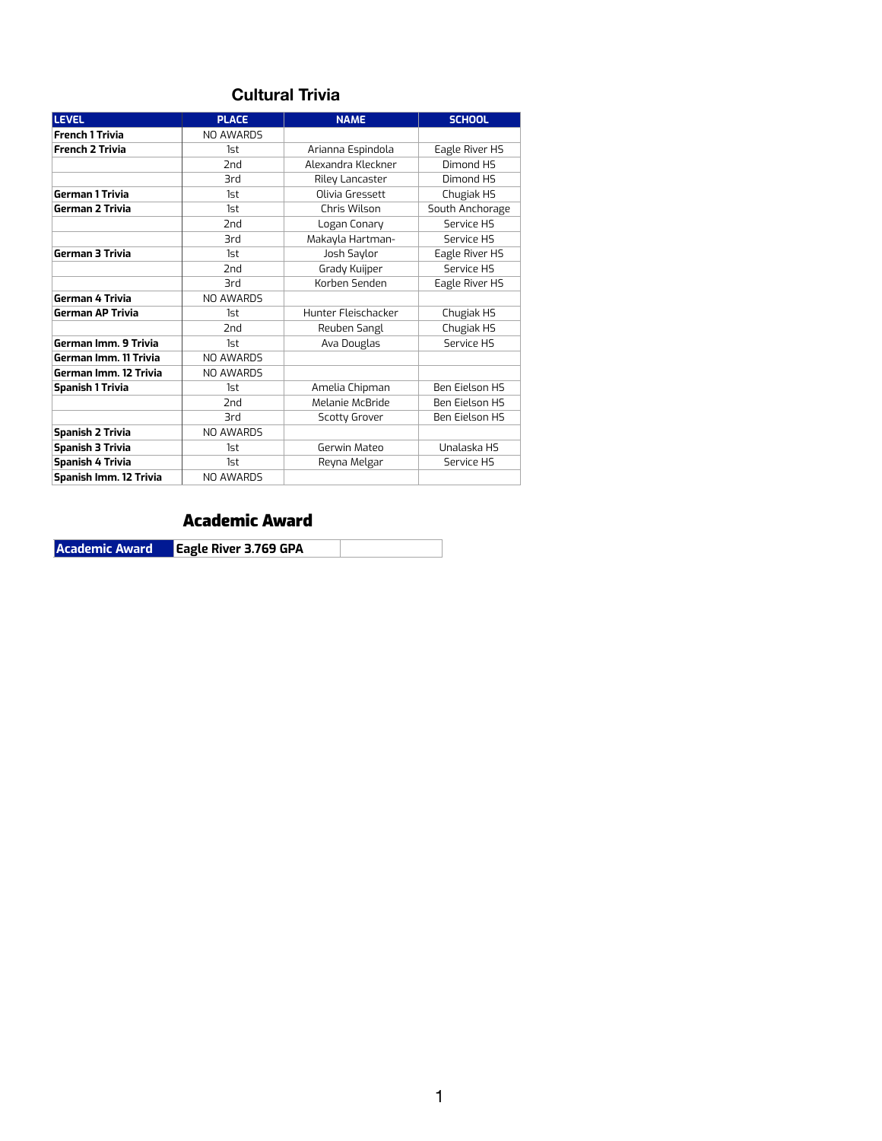### **Cultural Trivia**

| <b>LEVEL</b>                  | <b>PLACE</b>     | <b>NAME</b>                | <b>SCHOOL</b>         |
|-------------------------------|------------------|----------------------------|-----------------------|
| <b>French 1 Trivia</b>        | NO AWARDS        |                            |                       |
| <b>French 2 Trivia</b>        | 1st              | Arianna Espindola          | Eagle River HS        |
|                               | 2 <sub>nd</sub>  | Alexandra Kleckner         | Dimond HS             |
|                               | 3rd              | Riley Lancaster            | Dimond HS             |
| <b>German 1 Trivia</b>        | 1st              | Olivia Gressett            |                       |
| <b>German 2 Trivia</b>        | 1st              | Chris Wilson               | South Anchorage       |
|                               | 2 <sub>nd</sub>  | Logan Conary               | Service HS            |
|                               | <b>3rd</b>       | Makayla Hartman-           | Service HS            |
| <b>German 3 Trivia</b>        | 1st              | Josh Saylor                | Eagle River HS        |
|                               | 2 <sub>nd</sub>  | Grady Kuijper              | Service HS            |
|                               | 3rd              | Korben Senden              | Eagle River HS        |
| German 4 Trivia               | <b>NO AWARDS</b> |                            |                       |
| <b>German AP Trivia</b>       | 1st              | Hunter Fleischacker        | Chugiak HS            |
|                               | 2nd              | Reuben Sangl               | Chugiak HS            |
| German Imm. 9 Trivia          | 1st              | Service HS<br>Ava Douglas  |                       |
| German Imm. 11 Trivia         | <b>NO AWARDS</b> |                            |                       |
| German Imm. 12 Trivia         | NO AWARDS        |                            |                       |
| <b>Spanish 1 Trivia</b>       | 1st              | Amelia Chipman             | <b>Ben Eielson HS</b> |
|                               | 2nd              | Melanie McBride            | <b>Ben Eielson HS</b> |
|                               | 3rd              | <b>Scotty Grover</b>       | <b>Ben Eielson HS</b> |
| <b>Spanish 2 Trivia</b>       | <b>NO AWARDS</b> |                            |                       |
| <b>Spanish 3 Trivia</b>       | 1st              | Gerwin Mateo               | Unalaska HS           |
| <b>Spanish 4 Trivia</b>       | 1st              | Reyna Melgar<br>Service HS |                       |
| <b>Spanish Imm. 12 Trivia</b> | <b>NO AWARDS</b> |                            |                       |

### Academic Award

**Academic Award Eagle River 3.769 GPA**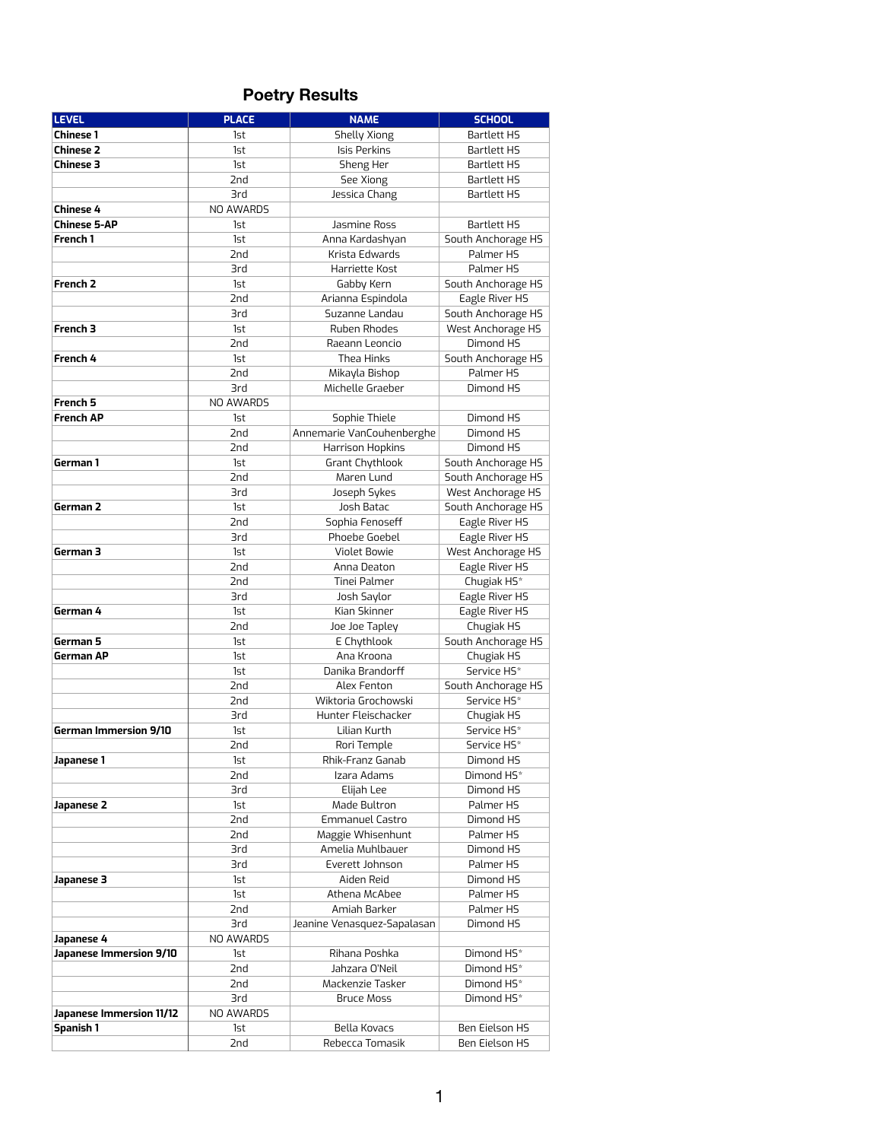# **Poetry Results**

| <b>LEVEL</b>                    | <b>PLACE</b> | <b>NAME</b>                 | <b>SCHOOL</b>          |
|---------------------------------|--------------|-----------------------------|------------------------|
| <b>Chinese 1</b>                | 1st          | Shelly Xiong                | <b>Bartlett HS</b>     |
| <b>Chinese 2</b>                | 1st          | <b>Isis Perkins</b>         | <b>Bartlett HS</b>     |
| <b>Chinese 3</b>                | 1st          | Sheng Her                   | <b>Bartlett HS</b>     |
|                                 | 2nd          | See Xiong                   | <b>Bartlett HS</b>     |
|                                 | 3rd          | Jessica Chang               | <b>Bartlett HS</b>     |
| <b>Chinese 4</b>                | NO AWARDS    |                             |                        |
| <b>Chinese 5-AP</b>             | 1st          | Jasmine Ross                | <b>Bartlett HS</b>     |
| French 1                        | 1st          | Anna Kardashyan             | South Anchorage HS     |
|                                 | 2nd          | Krista Edwards              | Palmer HS              |
|                                 | 3rd          | Harriette Kost              | Palmer HS              |
| French <sub>2</sub>             | 1st          | Gabby Kern                  | South Anchorage HS     |
|                                 | 2nd          | Arianna Espindola           | Eagle River HS         |
|                                 | 3rd          | Suzanne Landau              | South Anchorage HS     |
| French 3                        | 1st          | Ruben Rhodes                | West Anchorage HS      |
|                                 | 2nd          | Raeann Leoncio              | Dimond HS              |
| French 4                        | 1st          | <b>Thea Hinks</b>           | South Anchorage HS     |
|                                 | 2nd          | Mikayla Bishop              | Palmer HS              |
|                                 | 3rd          | Michelle Graeber            | Dimond HS              |
| French 5                        | NO AWARDS    |                             |                        |
| <b>French AP</b>                | 1st          | Sophie Thiele               | Dimond HS              |
|                                 | 2nd          | Annemarie VanCouhenberghe   | Dimond HS              |
|                                 | 2nd          | Harrison Hopkins            | Dimond HS              |
| German 1                        | 1st          | Grant Chythlook             | South Anchorage HS     |
|                                 | 2nd          | Maren Lund                  | South Anchorage HS     |
|                                 | 3rd          | Joseph Sykes                | West Anchorage HS      |
| German 2                        | 1st          | Josh Batac                  | South Anchorage HS     |
|                                 | 2nd          | Sophia Fenoseff             | Eagle River HS         |
|                                 | <b>3rd</b>   | Phoebe Goebel               | Eagle River HS         |
| German 3                        | 1st          | <b>Violet Bowie</b>         | West Anchorage HS      |
|                                 | 2nd          | Anna Deaton                 | Eagle River HS         |
|                                 | 2nd          | Tinei Palmer                | Chugiak HS*            |
|                                 | 3rd          | Josh Saylor                 | Eagle River HS         |
| German 4                        | 1st          | Kian Skinner                | Eagle River HS         |
|                                 | 2nd          | Joe Joe Tapley              | Chugiak HS             |
| German 5                        | 1st          | E Chythlook                 | South Anchorage HS     |
| <b>German AP</b>                | 1st          | Ana Kroona                  | Chugiak HS             |
|                                 | 1st          | Danika Brandorff            | Service HS*            |
|                                 | 2nd          | Alex Fenton                 | South Anchorage HS     |
|                                 | 2nd          | Wiktoria Grochowski         | Service HS*            |
|                                 | 3rd          | Hunter Fleischacker         | Chugiak HS             |
| <b>German Immersion 9/10</b>    | 1st          | Lilian Kurth                | Service HS*            |
|                                 | 2nd          | Rori Temple                 | Service HS*            |
| Japanese 1                      | 1st          | Rhik-Franz Ganab            | Dimond HS              |
|                                 | 2nd          | Izara Adams                 | Dimond HS*             |
|                                 | 3rd          | Elijah Lee                  | Dimond HS              |
| Japanese <sub>2</sub>           | 1st          | Made Bultron                | Palmer HS              |
|                                 | 2nd          | <b>Emmanuel Castro</b>      | Dimond HS              |
|                                 | 2nd          | Maggie Whisenhunt           | Palmer HS              |
|                                 | 3rd          | Amelia Muhlbauer            | Dimond HS              |
|                                 | 3rd          | Everett Johnson             | Palmer HS              |
| Japanese 3                      | 1st          | Aiden Reid                  | Dimond HS              |
|                                 | 1st          | Athena McAbee               | Palmer HS              |
|                                 | 2nd          | Amiah Barker                | Palmer HS              |
|                                 | 3rd          | Jeanine Venasquez-Sapalasan | Dimond HS              |
| Japanese 4                      | NO AWARDS    |                             |                        |
| Japanese Immersion 9/10         | 1st          | Rihana Poshka               | Dimond HS <sup>*</sup> |
|                                 | 2nd          | Jahzara O'Neil              | Dimond HS*             |
|                                 | 2nd          | Mackenzie Tasker            | Dimond HS*             |
|                                 | 3rd          | <b>Bruce Moss</b>           | Dimond HS <sup>*</sup> |
| <b>Japanese Immersion 11/12</b> | NO AWARDS    |                             |                        |
| <b>Spanish 1</b>                | 1st          | <b>Bella Kovacs</b>         | <b>Ben Eielson HS</b>  |
|                                 | 2nd          | Rebecca Tomasik             | <b>Ben Eielson HS</b>  |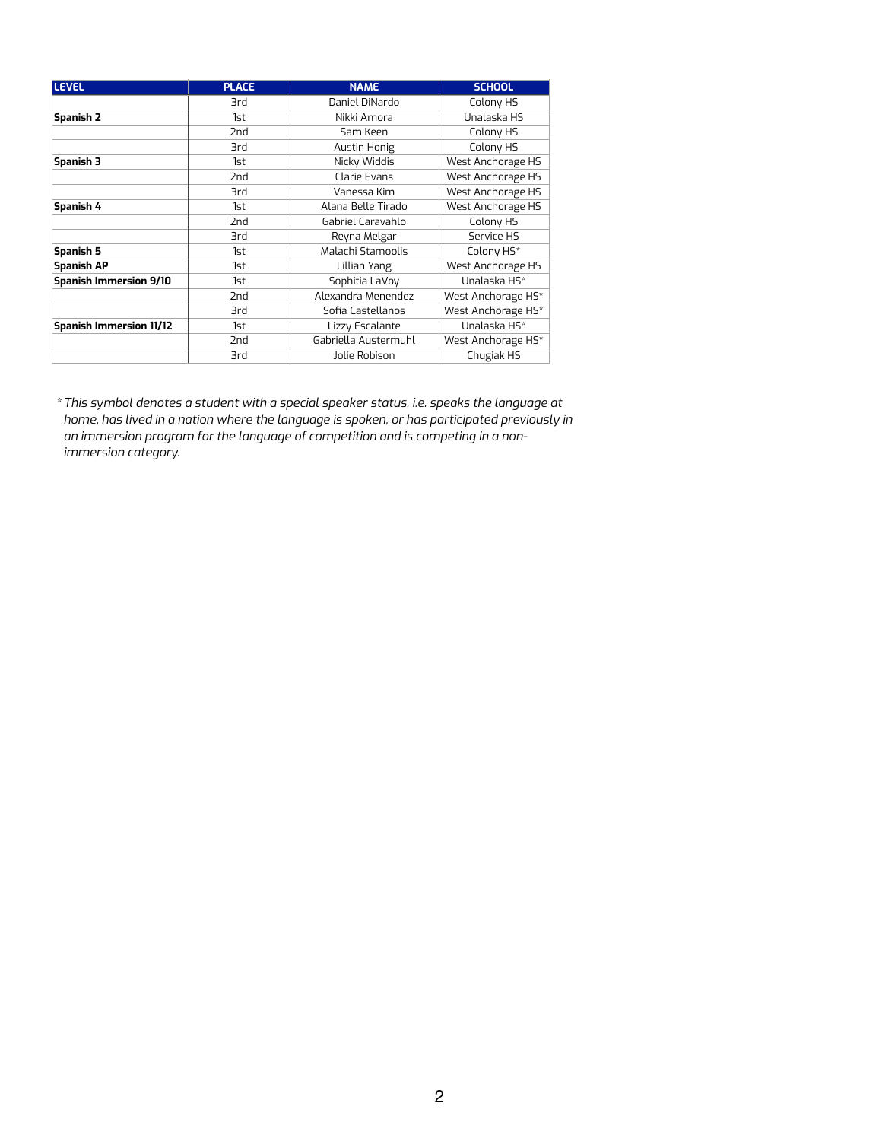| <b>LEVEL</b>                   | <b>PLACE</b>    | <b>NAME</b>          | <b>SCHOOL</b>      |
|--------------------------------|-----------------|----------------------|--------------------|
|                                | 3rd             | Daniel DiNardo       | Colony HS          |
| <b>Spanish 2</b>               | 1st             | Nikki Amora          | Unalaska HS        |
|                                | 2nd             | Sam Keen             | Colony HS          |
|                                | 3rd             | <b>Austin Honig</b>  | Colony HS          |
| <b>Spanish 3</b>               | 1st             | Nicky Widdis         | West Anchorage HS  |
|                                | 2nd             | <b>Clarie Evans</b>  | West Anchorage HS  |
|                                | 3rd             | Vanessa Kim          | West Anchorage HS  |
| Spanish 4                      | 1st             | Alana Belle Tirado   | West Anchorage HS  |
|                                | 2nd             | Gabriel Caravahlo    | Colony HS          |
|                                | 3rd             | Reyna Melgar         | Service HS         |
| <b>Spanish 5</b>               | 1st             | Malachi Stamoolis    | Colony HS*         |
| <b>Spanish AP</b>              | 1st             | Lillian Yang         | West Anchorage HS  |
| <b>Spanish Immersion 9/10</b>  | 1st             | Sophitia LaVoy       | Unalaska HS*       |
|                                | 2nd             | Alexandra Menendez   | West Anchorage HS* |
|                                | 3rd             | Sofia Castellanos    | West Anchorage HS* |
| <b>Spanish Immersion 11/12</b> | 1st             | Lizzy Escalante      | Unalaska HS*       |
|                                | 2 <sub>nd</sub> | Gabriella Austermuhl | West Anchorage HS* |
|                                | 3rd             | Jolie Robison        | Chugiak HS         |

*\*This symbol denotes a student with a special speaker status, i.e. speaks the language at home, has lived in a nation where the language is spoken, or has participated previously in an immersion program for the language of competition and is competing in a nonimmersion category.*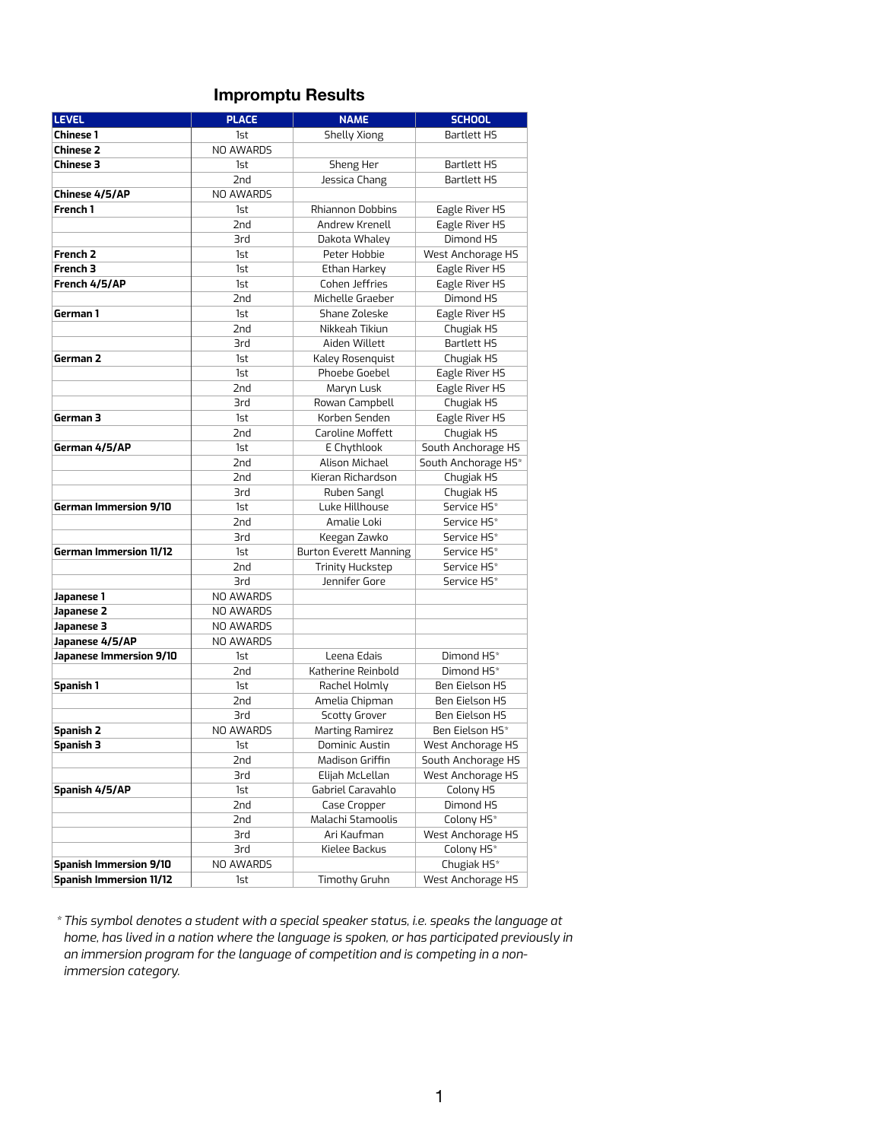## **Impromptu Results**

| <b>LEVEL</b>                   | <b>PLACE</b>               | <b>NAME</b>                   | <b>SCHOOL</b>                       |  |
|--------------------------------|----------------------------|-------------------------------|-------------------------------------|--|
| <b>Chinese 1</b>               | <b>Shelly Xiong</b><br>1st |                               | <b>Bartlett HS</b>                  |  |
| <b>Chinese 2</b>               | NO AWARDS                  |                               |                                     |  |
| <b>Chinese 3</b>               | Sheng Her<br>1st           |                               | <b>Bartlett HS</b>                  |  |
|                                | 2nd<br>Jessica Chang       |                               | <b>Bartlett HS</b>                  |  |
| Chinese 4/5/AP                 | NO AWARDS                  |                               |                                     |  |
| French 1                       | 1st                        | Rhiannon Dobbins              | Eagle River HS                      |  |
|                                | 2nd                        | Andrew Krenell                | Eagle River HS                      |  |
|                                | 3rd                        | Dakota Whaley                 | Dimond HS                           |  |
| <b>French 2</b>                | 1st                        | Peter Hobbie                  | West Anchorage HS                   |  |
| French 3                       | 1st                        | Ethan Harkey                  | Eagle River HS                      |  |
| French 4/5/AP                  | 1st                        | Cohen Jeffries                | Eagle River HS                      |  |
|                                | 2nd                        | Michelle Graeber              | Dimond HS                           |  |
| German 1                       | 1st                        | Shane Zoleske                 | Eagle River HS                      |  |
|                                | 2nd                        | Nikkeah Tikiun                | Chugiak HS                          |  |
|                                | 3rd                        | Aiden Willett                 | <b>Bartlett HS</b>                  |  |
| German <sub>2</sub>            | 1st                        | Kaley Rosenquist              | Chugiak HS                          |  |
|                                | 1st                        | Phoebe Goebel                 | Eagle River HS                      |  |
|                                | 2nd                        | Maryn Lusk                    | Eagle River HS                      |  |
|                                | 3rd                        | Rowan Campbell                | Chugiak HS                          |  |
| German 3                       | 1st                        | Korben Senden                 | Eagle River HS                      |  |
|                                | 2nd                        | Caroline Moffett              | Chugiak HS                          |  |
| German 4/5/AP                  | 1st                        | E Chythlook                   | South Anchorage HS                  |  |
|                                | 2nd                        | Alison Michael                | South Anchorage HS*                 |  |
|                                | 2nd                        | Kieran Richardson             | Chugiak HS                          |  |
|                                | 3rd                        | Ruben Sangl                   | Chugiak HS                          |  |
| <b>German Immersion 9/10</b>   | 1st                        | Luke Hillhouse                | Service HS*                         |  |
|                                | 2nd                        | Amalie Loki                   | Service HS*                         |  |
|                                | 3rd                        | Keegan Zawko                  | Service HS*                         |  |
| <b>German Immersion 11/12</b>  | 1st                        | <b>Burton Everett Manning</b> | Service HS*                         |  |
|                                | 2nd                        | <b>Trinity Huckstep</b>       | Service HS*                         |  |
|                                | 3rd                        | Jennifer Gore                 | Service HS*                         |  |
| Japanese 1                     | NO AWARDS                  |                               |                                     |  |
| Japanese 2                     | NO AWARDS                  |                               |                                     |  |
| Japanese 3                     | NO AWARDS                  |                               |                                     |  |
| Japanese 4/5/AP                | NO AWARDS                  |                               |                                     |  |
| Japanese Immersion 9/10        | 1st                        | Leena Edais                   | Dimond HS*                          |  |
|                                | 2nd                        | Katherine Reinbold            | Dimond HS*<br><b>Ben Eielson HS</b> |  |
| <b>Spanish 1</b>               | 1st                        | Rachel Holmly                 |                                     |  |
|                                | 2nd                        | Amelia Chipman                | <b>Ben Eielson HS</b>               |  |
|                                | 3rd                        | <b>Scotty Grover</b>          | <b>Ben Eielson HS</b>               |  |
| <b>Spanish 2</b>               | NO AWARDS                  | <b>Marting Ramirez</b>        | Ben Eielson HS*                     |  |
| <b>Spanish 3</b>               | 1st                        | Dominic Austin                | West Anchorage HS                   |  |
|                                | 2nd                        | Madison Griffin               | South Anchorage HS                  |  |
|                                | 3rd                        | Elijah McLellan               | West Anchorage HS                   |  |
| Spanish 4/5/AP                 | 1st                        | Gabriel Caravahlo             | Colony HS                           |  |
|                                | 2nd                        | Case Cropper                  | Dimond HS                           |  |
|                                | 2nd                        | Malachi Stamoolis             | Colony HS*                          |  |
|                                | 3rd                        | Ari Kaufman                   | West Anchorage HS                   |  |
|                                | 3rd                        | Kielee Backus                 | Colony HS*                          |  |
| <b>Spanish Immersion 9/10</b>  | NO AWARDS                  |                               | Chugiak HS <sup>*</sup>             |  |
| <b>Spanish Immersion 11/12</b> | 1st                        | Timothy Gruhn                 | West Anchorage HS                   |  |

*\*This symbol denotes a student with a special speaker status, i.e. speaks the language at home, has lived in a nation where the language is spoken, or has participated previously in an immersion program for the language of competition and is competing in a nonimmersion category.*